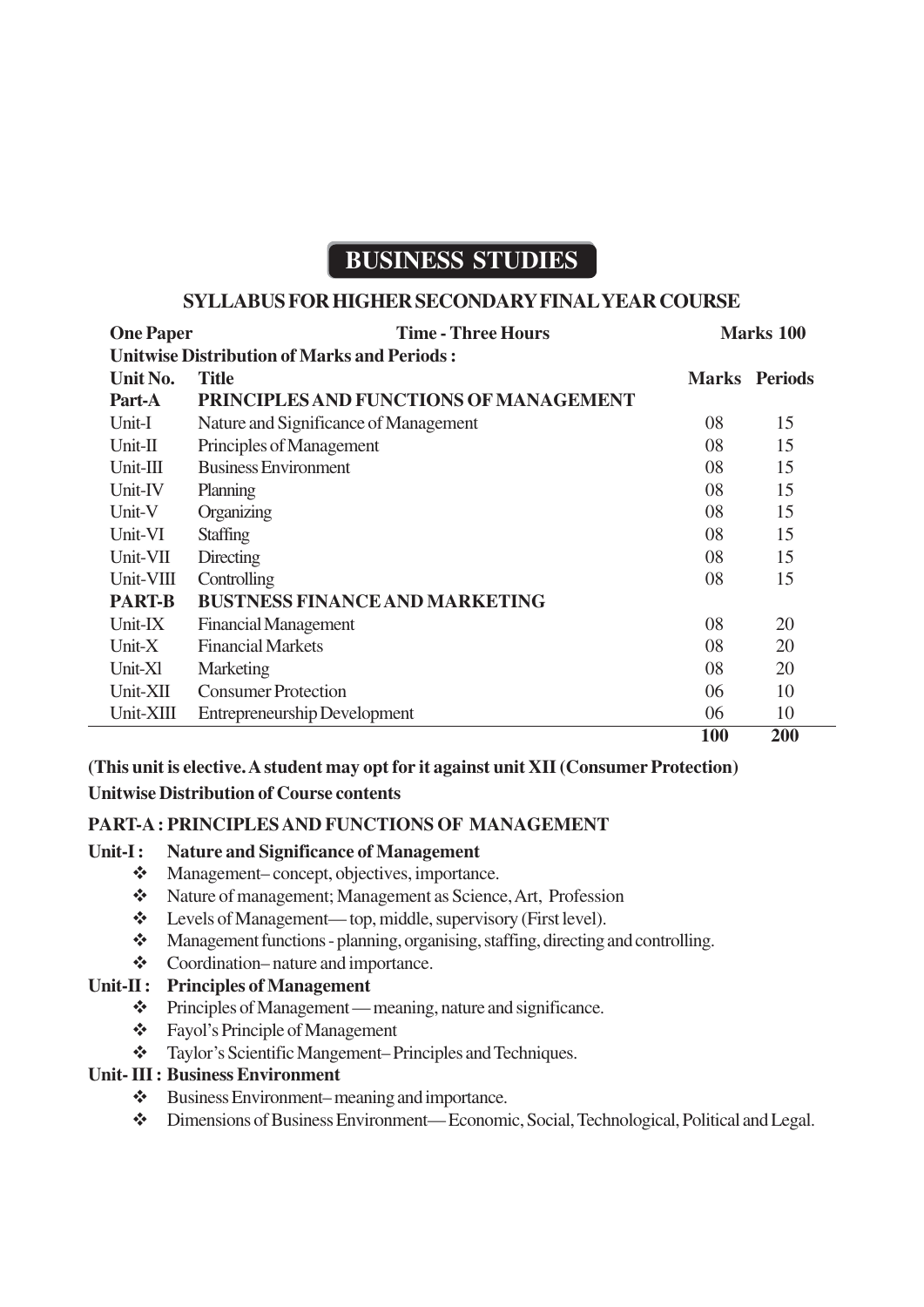# **BUSINESS STUDIES**

### **SYLLABUS FOR HIGHER SECONDARY FINAL YEAR COURSE**

| <b>One Paper</b>                                   | <b>Time - Three Hours</b>              | <b>Marks</b> 100 |                      |
|----------------------------------------------------|----------------------------------------|------------------|----------------------|
| <b>Unitwise Distribution of Marks and Periods:</b> |                                        |                  |                      |
| Unit No.                                           | <b>Title</b>                           |                  | <b>Marks</b> Periods |
| Part-A                                             | PRINCIPLES AND FUNCTIONS OF MANAGEMENT |                  |                      |
| Unit-I                                             | Nature and Significance of Management  | 08               | 15                   |
| $Unit-II$                                          | Principles of Management               | 08               | 15                   |
| $Unit-III$                                         | <b>Business Environment</b>            | 08               | 15                   |
| Unit-IV                                            | <b>Planning</b>                        | 08               | 15                   |
| Unit-V                                             | Organizing                             | 08               | 15                   |
| Unit-VI                                            | <b>Staffing</b>                        | 08               | 15                   |
| Unit-VII                                           | Directing                              | 08               | 15                   |
| Unit-VIII                                          | Controlling                            | 08               | 15                   |
| <b>PART-B</b>                                      | <b>BUSTNESS FINANCE AND MARKETING</b>  |                  |                      |
| Unit-IX                                            | <b>Financial Management</b>            | 08               | 20                   |
| Unit- $X$                                          | <b>Financial Markets</b>               | 08               | 20                   |
| Unit-X1                                            | Marketing                              | 08               | 20                   |
| Unit-XII                                           | <b>Consumer Protection</b>             | 06               | 10                   |
| Unit-XIII                                          | <b>Entrepreneurship Development</b>    | 06               | 10                   |
|                                                    |                                        | <b>100</b>       | 200                  |

**(This unit is elective. A student may opt for it against unit XII (Consumer Protection)**

### **Unitwise Distribution of Course contents**

### **PART-A : PRINCIPLES AND FUNCTIONS OF MANAGEMENT**

### **Unit-I : Nature and Significance of Management**

- Management– concept, objectives, importance.
- Nature of management; Management as Science, Art, Profession
- Levels of Management— top, middle, supervisory (First level).
- Management functions planning, organising, staffing, directing and controlling.
- Coordination– nature and importance.

### **Unit-II : Principles of Management**

- Principles of Management meaning, nature and significance.
- Fayol's Principle of Management
- Taylor's Scientific Mangement– Principles and Techniques.

### **Unit- III : Business Environment**

- Business Environment– meaning and importance.
- Dimensions of Business Environment— Economic, Social, Technological, Political and Legal.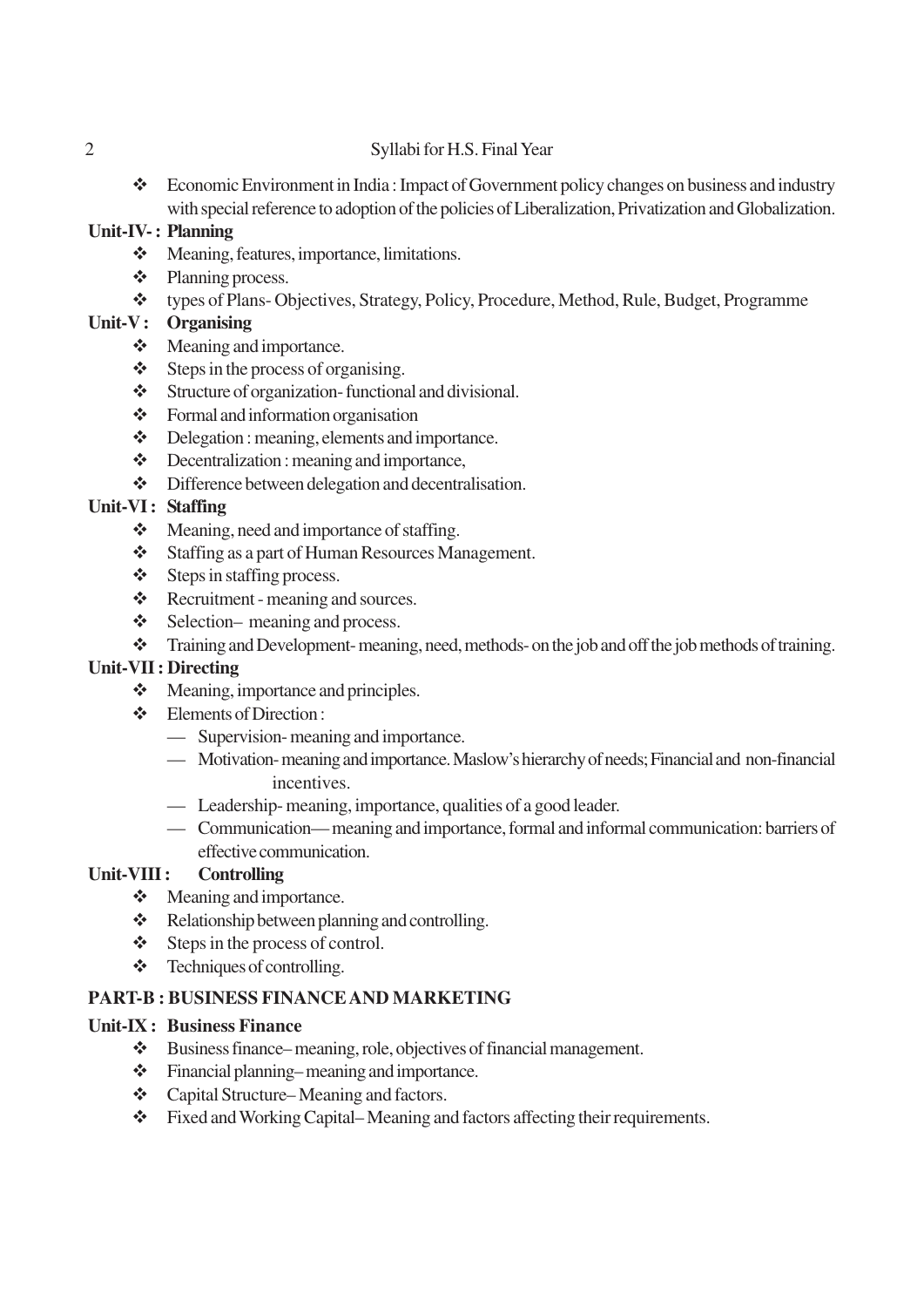### 2 Syllabi for H.S. Final Year

\* Economic Environment in India: Impact of Government policy changes on business and industry with special reference to adoption of the policies of Liberalization, Privatization and Globalization.

### **Unit-IV- : Planning**

- \* Meaning, features, importance, limitations.
- ❖ Planning process.
- types of Plans- Objectives, Strategy, Policy, Procedure, Method, Rule, Budget, Programme

# **Unit-V : Organising**

- Meaning and importance.
- $\div$  Steps in the process of organising.
- Structure of organization- functional and divisional.
- Formal and information organisation
- Delegation : meaning, elements and importance.
- Decentralization : meaning and importance,
- $\triangle$  Difference between delegation and decentralisation.

### **Unit-VI : Staffing**

- Meaning, need and importance of staffing.
- Staffing as a part of Human Resources Management.
- $\triangle$  Steps in staffing process.
- \* Recruitment meaning and sources.
- $\div$  Selection– meaning and process.
- \* Training and Development- meaning, need, methods- on the job and off the job methods of training.

# **Unit-VII : Directing**

- Meaning, importance and principles.
- Elements of Direction :
	- Supervision- meaning and importance.
	- Motivation- meaning and importance. Maslow's hierarchy of needs; Financial and non-financial incentives.
	- Leadership- meaning, importance, qualities of a good leader.
	- Communication— meaning and importance, formal and informal communication: barriers of effective communication.

# **Unit-VIII : Controlling**

- $\div$  Meaning and importance.
- Relationship between planning and controlling.
- $\div$  Steps in the process of control.
- Techniques of controlling.

# **PART-B : BUSINESS FINANCE AND MARKETING**

### **Unit-IX : Business Finance**

- $\triangleleft$  Business finance– meaning, role, objectives of financial management.
- Financial planning– meaning and importance.
- Capital Structure– Meaning and factors.
- Fixed and Working Capital– Meaning and factors affecting their requirements.